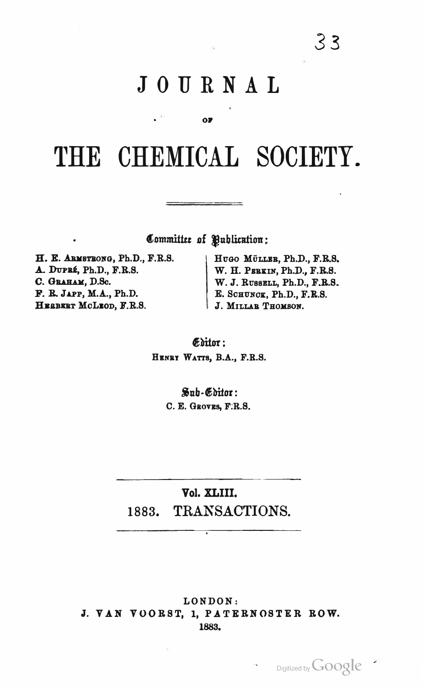# JOURNAL

**OF** 

# THE CHEMICAL SOCIETY.

Committee of Publication:

\_\_\_\_\_\_\_\_\_

H. E. ARMSTRONG, Ph.D., F.R.S. A. DUPRÉ, Ph.D., F.R.S. C. GRAHAM, D.Sc. F. R. JAPP, M.A., Ph.D. HEBBERT MCLEOD, F.R.S.

HUGO MÜLLER, Ph.D., F.R.S. W. H. PERKIN, Ph.D., F.R.S. W. J. RUSSELL, Ph.D., F.R.S. E. SCHUNCK, Ph.D., F.R.S. J. MILLAR THOMSON.

Editor: HENRY WATTS, B.A., F.R.S.

> Sub-Editor: C. E. GROVES, F.R.S.

Vol. XLIII. 1883. TRANSACTIONS.

 $\overline{\cdot}$ 

LONDON: J. VAN VOORST, 1, PATERNOSTER ROW. 1883.

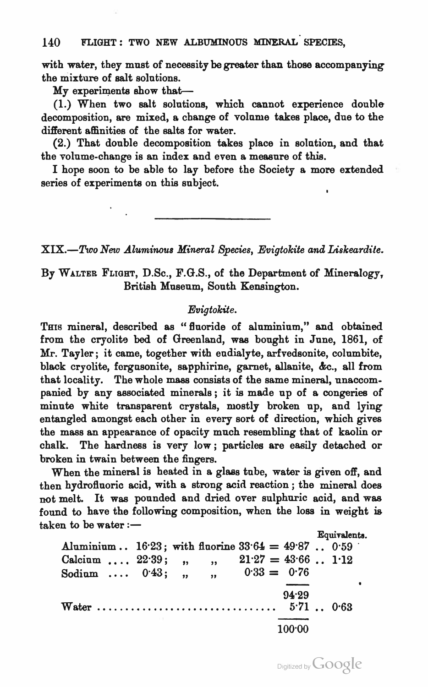## 140 FLIGHT: TWO NEW ALBUMINOUS MINERAL SPECIES,

with water, they must of necessity be greater than those accompanying the mixture of salt solutions.

My experiments show that-

(1.) When two salt solutions, which cannot experience double decomposition, are mixed, a change of volume takes place, due to the different affinities of the salts for water.

(2.) That double decomposition takes place in solution, and that the volume-change is an index and even a measure of this.

I hope soon to be able to lay before the Society a more extended series of experiments on this subject.

 $XIX. -Two$  New Aluminous Mineral Species, Evigtokite and Liskeardite.

By WALTER FLIGHT, D.Sc., F.G.S., of the Department of Mineralogy, British Museum, South Kensington.

#### Evigtokite.

THIS mineral, described as "fluoride of aluminium," and obtained from the cryolite bed of Greenland, was bought in June, 1861, of Mr. Tayler ; it came, together with eudialyte, arfvedsonite, columbite, black cryolite, forgnsonite, sapphirine, garnet, allanite, &c., all from that locality. The whole mass consists of the same mineral, unaccompanied by any associated minerals ; it is made up of a congeries of minute white transparent crystals, mostly broken up, and lying entangled amongst each other in every sort of direction, which gives the mass an appearance of opacity much resembling that of kaolin or chalk. The hardness is very low ; particles are easily detached or broken in twain between the fingers.

When the mineral is heated in a glass tube, water is given off, and then hydrofluoric acid, with a strong acid reaction; the mineral does not melt. It was pounded and dried over sulphuric acid, and was fonnd to have the following composition, when the loss in weight is  $t$ aken to be water  $:$   $-$ 

Aluminium  $\therefore$  16.23; with fluorine 33.64 = 49.87  $\therefore$  0.59 Calcium ....  $22.39;$  , , , Sodium ....  $0.43;$  , ,  $0.33 = 0.76$  $94.29$ <br>5.71 .. 0.63 Equivalents.  $21.27 = 43.66...1.12$ Water  $\dots\dots\dots\dots\dots\dots\dots\dots\dots\dots\dots\dots\dots$ 100•00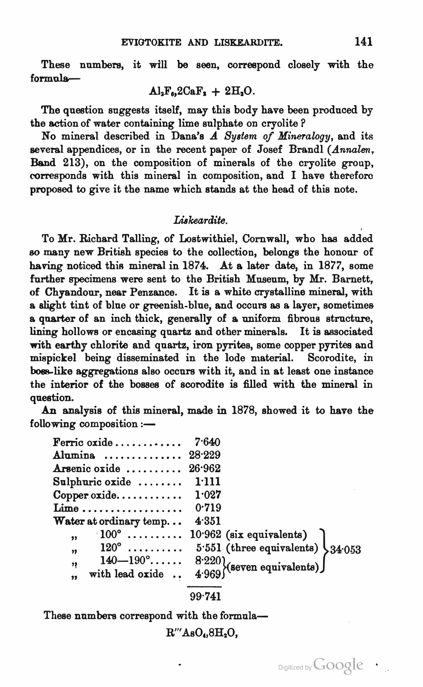These numbers, it will be seen, correepond closely with the  $formula-$ 

$$
Al_2F_6, 2CaF_2 + 2H_2O.
$$

The question suggests itself, may this body have been produced by the action of water containing lime sulphate on cryolite ?

No mineral described in Dana's  $\overrightarrow{A}$  System of Mineralogy, and its several appendices, or in the recent paper of Josef Brandl (Annalen, Band 213), on the composition of minerals of the cryolite group, corresponds with this mineral in composition, and I have th<sup>e</sup>reforo proposed to give it the name which stands at the head of this note.

## **Liskeardite**

To Mr. Richard Talling, of Lostwithiel, Cornwall, who has adde<sup>d</sup> so many new British species to the collection, belongs the honour of having noticed this mineral in 1874. At a later date, in 1877, some further specimens were sent to the British Museum, by Mr. Barnett, of Chyandour, near Penzance. It is a white crystalline mineral, with <sup>a</sup>slig<sup>h</sup>t tint of blue or greenish-blue, and occurs as <sup>a</sup>layer, sometimes <sup>a</sup>quarter of an inch thick, g<sup>e</sup>nerally of a uniform fibrous structure, lining hollows or encasing quartz and other minerals. It is associated with earthy chlorite and quartz, iron pyrites, some copper pyrites an<sup>d</sup> mispickel being disseminated in the lode material. Scorodite, in hoes-like aggregations also occurs with it, and in at least one instance the interior of the bosses of scorodite is filled with the mineral in <sup>q</sup>uestion.

An analysis of this mineral, made in 1878, showed it to have the  $following composition :=$ 

| Ferric oxide            | 7.640                                                                           |
|-------------------------|---------------------------------------------------------------------------------|
| Alumina  28.229         |                                                                                 |
| Arsenic oxide  26.962   |                                                                                 |
| Sulphuric oxide  1.111  |                                                                                 |
| Copper oxide $1.027$    |                                                                                 |
| Lime $0.719$            |                                                                                 |
| Water at ordinary temp  | 4.351                                                                           |
| $\overline{\mathbf{z}}$ | $\lceil 100^{\circ} \ldots \ldots \ldots \ldots 10 \cdot 962$ (six equivalents) |
| , 2                     | $120^{\circ}$ 5.551 (three equivalents) $34.053$                                |
| ,,                      | 140-190° 8.220)<br>with lead oxide  4.969) (seven equivalents)                  |
| $\overline{\mathbf{z}}$ |                                                                                 |

#### 99·741

These numbers correspond with the formula-

$$
\mathrm{R}^{\prime\prime\prime}\mathrm{AsO}_{4,}8\mathrm{H}_{2}\mathrm{O}_{2}
$$